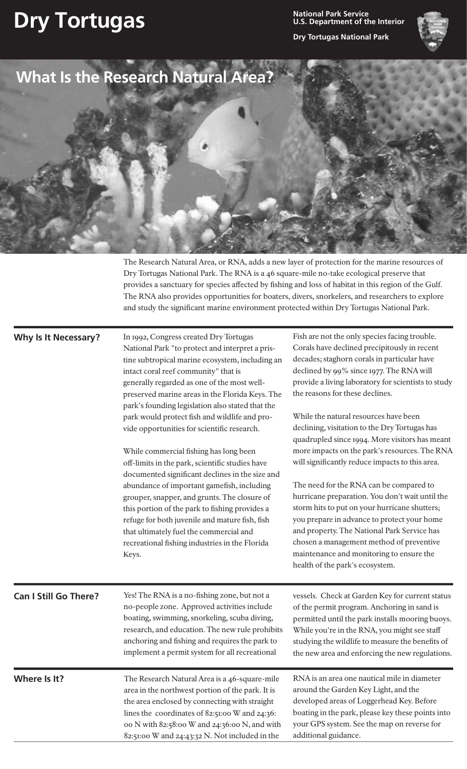## **Dry Tortugas National Park Service**

**U.S. Department of the Interior**

**Dry Tortugas National Park**



|                              | What Is the Research Natural Area?                                                                                                                                                                                                                                                                                                                                                                                                                                                                                                                                                                                                                                                                                                       |                                                                                                                                                                                                                                                                                                                                                                                                                              |
|------------------------------|------------------------------------------------------------------------------------------------------------------------------------------------------------------------------------------------------------------------------------------------------------------------------------------------------------------------------------------------------------------------------------------------------------------------------------------------------------------------------------------------------------------------------------------------------------------------------------------------------------------------------------------------------------------------------------------------------------------------------------------|------------------------------------------------------------------------------------------------------------------------------------------------------------------------------------------------------------------------------------------------------------------------------------------------------------------------------------------------------------------------------------------------------------------------------|
| Why Is It Necessary?         | The Research Natural Area, or RNA, adds a new layer of protection for the marine resources of<br>Dry Tortugas National Park. The RNA is a 46 square-mile no-take ecological preserve that<br>provides a sanctuary for species affected by fishing and loss of habitat in this region of the Gulf.<br>The RNA also provides opportunities for boaters, divers, snorkelers, and researchers to explore<br>and study the significant marine environment protected within Dry Tortugas National Park.<br>In 1992, Congress created Dry Tortugas<br>National Park "to protect and interpret a pris-<br>tine subtropical marine ecosystem, including an<br>intact coral reef community" that is<br>generally regarded as one of the most well- | Fish are not the only species facing trouble.<br>Corals have declined precipitously in recent<br>decades; staghorn corals in particular have<br>declined by 99% since 1977. The RNA will<br>provide a living laboratory for scientists to study                                                                                                                                                                              |
|                              | preserved marine areas in the Florida Keys. The<br>park's founding legislation also stated that the<br>park would protect fish and wildlife and pro-<br>vide opportunities for scientific research.<br>While commercial fishing has long been<br>off-limits in the park, scientific studies have<br>documented significant declines in the size and<br>abundance of important gamefish, including<br>grouper, snapper, and grunts. The closure of                                                                                                                                                                                                                                                                                        | the reasons for these declines.<br>While the natural resources have been<br>declining, visitation to the Dry Tortugas has<br>quadrupled since 1994. More visitors has meant<br>more impacts on the park's resources. The RNA<br>will significantly reduce impacts to this area.<br>The need for the RNA can be compared to<br>hurricane preparation. You don't wait until the                                                |
| <b>Can I Still Go There?</b> | this portion of the park to fishing provides a<br>refuge for both juvenile and mature fish, fish<br>that ultimately fuel the commercial and<br>recreational fishing industries in the Florida<br>Keys.<br>Yes! The RNA is a no-fishing zone, but not a<br>no-people zone. Approved activities include<br>boating, swimming, snorkeling, scuba diving,                                                                                                                                                                                                                                                                                                                                                                                    | storm hits to put on your hurricane shutters;<br>you prepare in advance to protect your home<br>and property. The National Park Service has<br>chosen a management method of preventive<br>maintenance and monitoring to ensure the<br>health of the park's ecosystem.<br>vessels. Check at Garden Key for current status<br>of the permit program. Anchoring in sand is<br>permitted until the park installs mooring buoys. |

**Where Is It?** The Research Natural Area is a 46-square-mile area in the northwest portion of the park. It is the area enclosed by connecting with straight lines the coordinates of 82:51:00 W and 24:36: 00 N with 82:58:00 W and 24:36:00 N, and with 82:51:00 W and 24:43:32 N. Not included in the

anchoring and fishing and requires the park to implement a permit system for all recreational

> RNA is an area one nautical mile in diameter around the Garden Key Light, and the developed areas of Loggerhead Key. Before boating in the park, please key these points into your GPS system. See the map on reverse for additional guidance.

> studying the wildlife to measure the benefits of the new area and enforcing the new regulations.